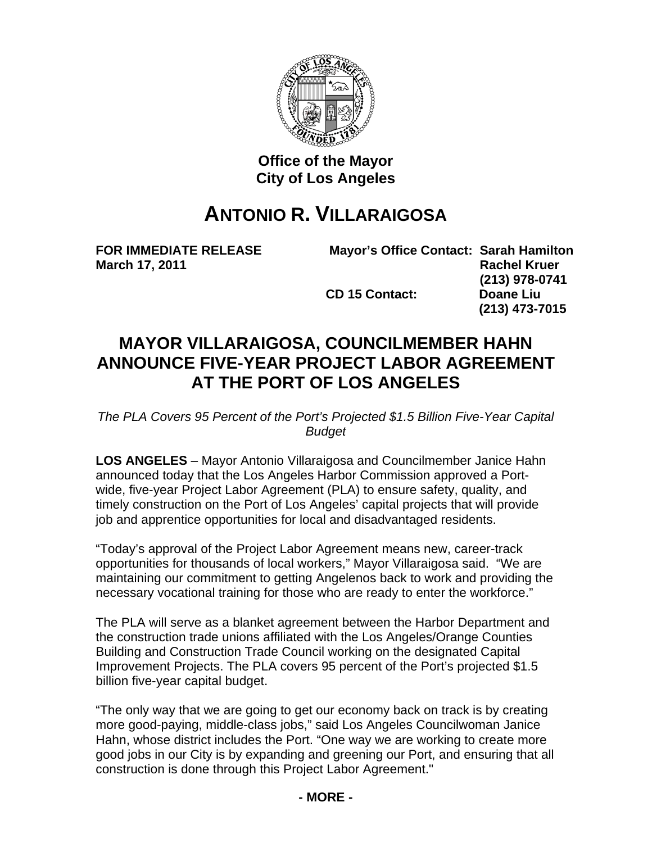

**Office of the Mayor City of Los Angeles** 

## **ANTONIO R. VILLARAIGOSA**

**FOR IMMEDIATE RELEASE Mayor's Office Contact: Sarah Hamilton March 17, 2011** Rachel Kruer **Rachel Kruer Rachel Kruer (213) 978-0741 CD 15 Contact: Doane Liu (213) 473-7015** 

## **MAYOR VILLARAIGOSA, COUNCILMEMBER HAHN ANNOUNCE FIVE-YEAR PROJECT LABOR AGREEMENT AT THE PORT OF LOS ANGELES**

*The PLA Covers 95 Percent of the Port's Projected \$1.5 Billion Five-Year Capital Budget* 

**LOS ANGELES** – Mayor Antonio Villaraigosa and Councilmember Janice Hahn announced today that the Los Angeles Harbor Commission approved a Portwide, five-year Project Labor Agreement (PLA) to ensure safety, quality, and timely construction on the Port of Los Angeles' capital projects that will provide job and apprentice opportunities for local and disadvantaged residents.

"Today's approval of the Project Labor Agreement means new, career-track opportunities for thousands of local workers," Mayor Villaraigosa said. "We are maintaining our commitment to getting Angelenos back to work and providing the necessary vocational training for those who are ready to enter the workforce."

The PLA will serve as a blanket agreement between the Harbor Department and the construction trade unions affiliated with the Los Angeles/Orange Counties Building and Construction Trade Council working on the designated Capital Improvement Projects. The PLA covers 95 percent of the Port's projected \$1.5 billion five-year capital budget.

"The only way that we are going to get our economy back on track is by creating more good-paying, middle-class jobs," said Los Angeles Councilwoman Janice Hahn, whose district includes the Port. "One way we are working to create more good jobs in our City is by expanding and greening our Port, and ensuring that all construction is done through this Project Labor Agreement."